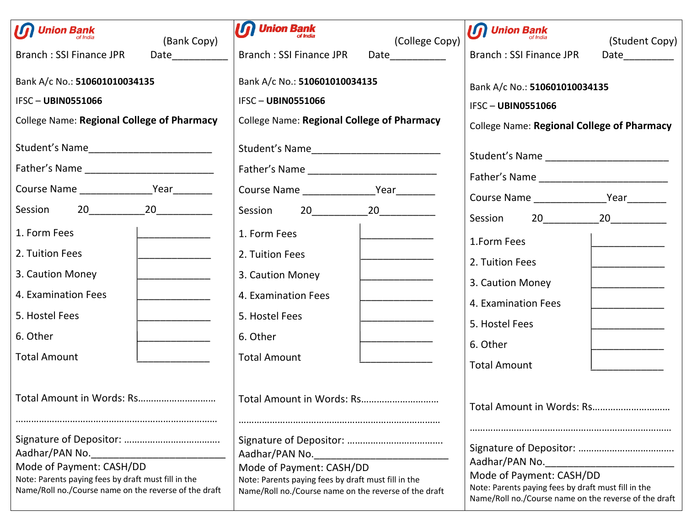| $\boldsymbol{\mathcal{D}}$ Union Bank<br>(Bank Copy)                                                                                                       | $\boldsymbol{\mathcal{G}}$ Union Bank<br>(College Copy)                                                                                                    | $\boldsymbol{\mathcal{G}}$ Union Bank<br>(Student Copy)                                                                                                    |  |  |
|------------------------------------------------------------------------------------------------------------------------------------------------------------|------------------------------------------------------------------------------------------------------------------------------------------------------------|------------------------------------------------------------------------------------------------------------------------------------------------------------|--|--|
| Branch: SSI Finance JPR<br>Date___________                                                                                                                 | <b>Branch: SSI Finance JPR</b><br>Date____________                                                                                                         | <b>Branch: SSI Finance JPR</b><br>Date___________                                                                                                          |  |  |
| Bank A/c No.: 510601010034135                                                                                                                              | Bank A/c No.: 510601010034135                                                                                                                              | Bank A/c No.: 510601010034135                                                                                                                              |  |  |
| <b>IFSC-UBIN0551066</b>                                                                                                                                    | <b>IFSC-UBIN0551066</b>                                                                                                                                    | <b>IFSC-UBIN0551066</b>                                                                                                                                    |  |  |
| College Name: Regional College of Pharmacy                                                                                                                 | <b>College Name: Regional College of Pharmacy</b>                                                                                                          | <b>College Name: Regional College of Pharmacy</b>                                                                                                          |  |  |
| Student's Name____________________________                                                                                                                 | Student's Name____________________________                                                                                                                 |                                                                                                                                                            |  |  |
|                                                                                                                                                            |                                                                                                                                                            |                                                                                                                                                            |  |  |
|                                                                                                                                                            |                                                                                                                                                            |                                                                                                                                                            |  |  |
|                                                                                                                                                            |                                                                                                                                                            |                                                                                                                                                            |  |  |
| 1. Form Fees                                                                                                                                               | 1. Form Fees                                                                                                                                               | 1.Form Fees                                                                                                                                                |  |  |
| 2. Tuition Fees                                                                                                                                            | 2. Tuition Fees                                                                                                                                            | 2. Tuition Fees                                                                                                                                            |  |  |
| 3. Caution Money                                                                                                                                           | 3. Caution Money                                                                                                                                           | 3. Caution Money                                                                                                                                           |  |  |
| 4. Examination Fees                                                                                                                                        | 4. Examination Fees                                                                                                                                        | 4. Examination Fees                                                                                                                                        |  |  |
| 5. Hostel Fees                                                                                                                                             | 5. Hostel Fees                                                                                                                                             | 5. Hostel Fees                                                                                                                                             |  |  |
| 6. Other                                                                                                                                                   | 6. Other                                                                                                                                                   | 6. Other                                                                                                                                                   |  |  |
| <b>Total Amount</b>                                                                                                                                        | <b>Total Amount</b>                                                                                                                                        | <b>Total Amount</b>                                                                                                                                        |  |  |
|                                                                                                                                                            | Total Amount in Words: Rs                                                                                                                                  | Total Amount in Words: Rs                                                                                                                                  |  |  |
| Aadhar/PAN No.<br>Mode of Payment: CASH/DD<br>Note: Parents paying fees by draft must fill in the<br>Name/Roll no./Course name on the reverse of the draft | Aadhar/PAN No.<br>Mode of Payment: CASH/DD<br>Note: Parents paying fees by draft must fill in the<br>Name/Roll no./Course name on the reverse of the draft | Aadhar/PAN No.<br>Mode of Payment: CASH/DD<br>Note: Parents paying fees by draft must fill in the<br>Name/Roll no./Course name on the reverse of the draft |  |  |